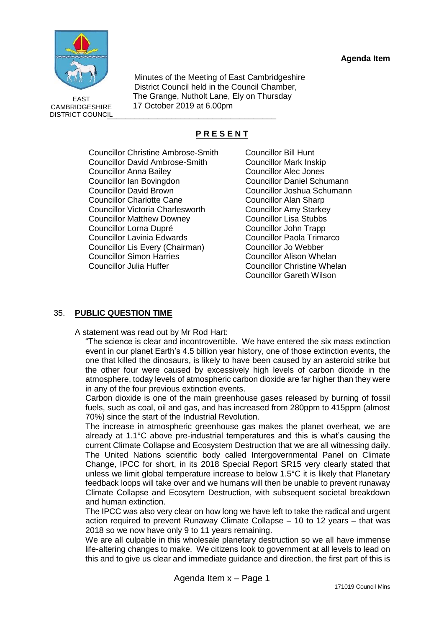**Agenda Item** 



\_\_\_\_\_\_\_\_\_\_\_\_\_\_\_\_\_\_\_\_\_\_\_\_\_\_\_\_\_\_\_\_\_\_\_\_\_ EAST CAMBRIDGESHIRE DISTRICT COUNCIL

Minutes of the Meeting of East Cambridgeshire District Council held in the Council Chamber, The Grange, Nutholt Lane, Ely on Thursday 17 October 2019 at 6.00pm

# **P R E S E N T**

Councillor Christine Ambrose-Smith Councillor David Ambrose-Smith Councillor Anna Bailey Councillor Ian Bovingdon Councillor David Brown Councillor Charlotte Cane Councillor Victoria Charlesworth Councillor Matthew Downey Councillor Lorna Dupré Councillor Lavinia Edwards Councillor Lis Every (Chairman) Councillor Simon Harries Councillor Julia Huffer

Councillor Bill Hunt Councillor Mark Inskip Councillor Alec Jones Councillor Daniel Schumann Councillor Joshua Schumann Councillor Alan Sharp Councillor Amy Starkey Councillor Lisa Stubbs Councillor John Trapp Councillor Paola Trimarco Councillor Jo Webber Councillor Alison Whelan Councillor Christine Whelan Councillor Gareth Wilson

# 35. **PUBLIC QUESTION TIME**

A statement was read out by Mr Rod Hart:

"The science is clear and incontrovertible. We have entered the six mass extinction event in our planet Earth's 4.5 billion year history, one of those extinction events, the one that killed the dinosaurs, is likely to have been caused by an asteroid strike but the other four were caused by excessively high levels of carbon dioxide in the atmosphere, today levels of atmospheric carbon dioxide are far higher than they were in any of the four previous extinction events.

Carbon dioxide is one of the main greenhouse gases released by burning of fossil fuels, such as coal, oil and gas, and has increased from 280ppm to 415ppm (almost 70%) since the start of the Industrial Revolution.

The increase in atmospheric greenhouse gas makes the planet overheat, we are already at 1.1°C above pre-industrial temperatures and this is what's causing the current Climate Collapse and Ecosystem Destruction that we are all witnessing daily. The United Nations scientific body called Intergovernmental Panel on Climate Change, IPCC for short, in its 2018 Special Report SR15 very clearly stated that unless we limit global temperature increase to below 1.5°C it is likely that Planetary feedback loops will take over and we humans will then be unable to prevent runaway Climate Collapse and Ecosytem Destruction, with subsequent societal breakdown and human extinction.

The IPCC was also very clear on how long we have left to take the radical and urgent action required to prevent Runaway Climate Collapse – 10 to 12 years – that was 2018 so we now have only 9 to 11 years remaining.

We are all culpable in this wholesale planetary destruction so we all have immense life-altering changes to make. We citizens look to government at all levels to lead on this and to give us clear and immediate guidance and direction, the first part of this is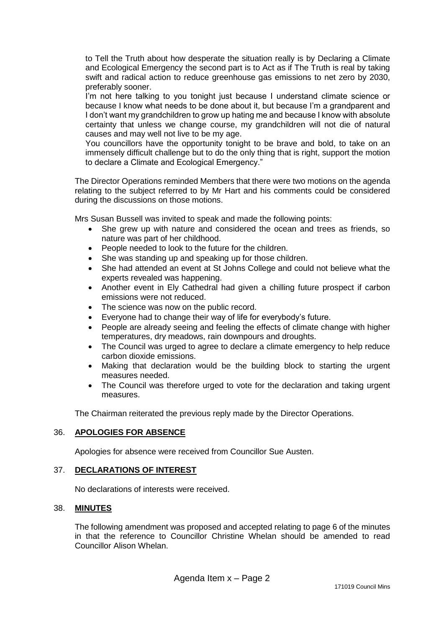to Tell the Truth about how desperate the situation really is by Declaring a Climate and Ecological Emergency the second part is to Act as if The Truth is real by taking swift and radical action to reduce greenhouse gas emissions to net zero by 2030, preferably sooner.

I'm not here talking to you tonight just because I understand climate science or because I know what needs to be done about it, but because I'm a grandparent and I don't want my grandchildren to grow up hating me and because I know with absolute certainty that unless we change course, my grandchildren will not die of natural causes and may well not live to be my age.

You councillors have the opportunity tonight to be brave and bold, to take on an immensely difficult challenge but to do the only thing that is right, support the motion to declare a Climate and Ecological Emergency."

The Director Operations reminded Members that there were two motions on the agenda relating to the subject referred to by Mr Hart and his comments could be considered during the discussions on those motions.

Mrs Susan Bussell was invited to speak and made the following points:

- She grew up with nature and considered the ocean and trees as friends, so nature was part of her childhood.
- People needed to look to the future for the children.
- She was standing up and speaking up for those children.
- She had attended an event at St Johns College and could not believe what the experts revealed was happening.
- Another event in Ely Cathedral had given a chilling future prospect if carbon emissions were not reduced.
- The science was now on the public record.
- Everyone had to change their way of life for everybody's future.
- People are already seeing and feeling the effects of climate change with higher temperatures, dry meadows, rain downpours and droughts.
- The Council was urged to agree to declare a climate emergency to help reduce carbon dioxide emissions.
- Making that declaration would be the building block to starting the urgent measures needed.
- The Council was therefore urged to vote for the declaration and taking urgent measures.

The Chairman reiterated the previous reply made by the Director Operations.

### 36. **APOLOGIES FOR ABSENCE**

Apologies for absence were received from Councillor Sue Austen.

### 37. **DECLARATIONS OF INTEREST**

No declarations of interests were received.

### 38. **MINUTES**

The following amendment was proposed and accepted relating to page 6 of the minutes in that the reference to Councillor Christine Whelan should be amended to read Councillor Alison Whelan.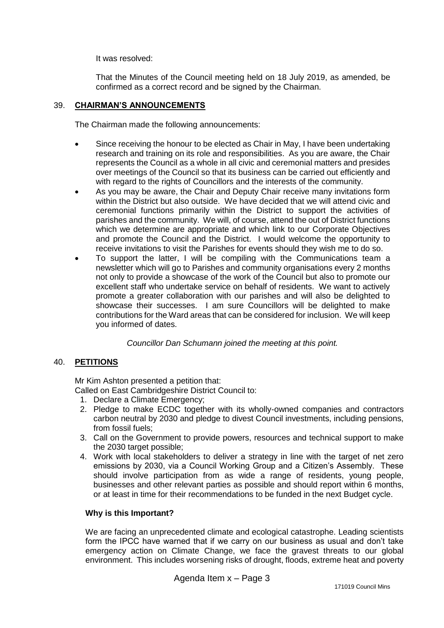It was resolved:

That the Minutes of the Council meeting held on 18 July 2019, as amended, be confirmed as a correct record and be signed by the Chairman.

### 39. **CHAIRMAN'S ANNOUNCEMENTS**

The Chairman made the following announcements:

- Since receiving the honour to be elected as Chair in May, I have been undertaking research and training on its role and responsibilities. As you are aware, the Chair represents the Council as a whole in all civic and ceremonial matters and presides over meetings of the Council so that its business can be carried out efficiently and with regard to the rights of Councillors and the interests of the community.
- As you may be aware, the Chair and Deputy Chair receive many invitations form within the District but also outside. We have decided that we will attend civic and ceremonial functions primarily within the District to support the activities of parishes and the community. We will, of course, attend the out of District functions which we determine are appropriate and which link to our Corporate Objectives and promote the Council and the District. I would welcome the opportunity to receive invitations to visit the Parishes for events should they wish me to do so.
- To support the latter, I will be compiling with the Communications team a newsletter which will go to Parishes and community organisations every 2 months not only to provide a showcase of the work of the Council but also to promote our excellent staff who undertake service on behalf of residents. We want to actively promote a greater collaboration with our parishes and will also be delighted to showcase their successes. I am sure Councillors will be delighted to make contributions for the Ward areas that can be considered for inclusion. We will keep you informed of dates.

*Councillor Dan Schumann joined the meeting at this point.*

### 40. **PETITIONS**

Mr Kim Ashton presented a petition that:

- Called on East Cambridgeshire District Council to:
	- 1. Declare a Climate Emergency;
	- 2. Pledge to make ECDC together with its wholly-owned companies and contractors carbon neutral by 2030 and pledge to divest Council investments, including pensions, from fossil fuels;
	- 3. Call on the Government to provide powers, resources and technical support to make the 2030 target possible;
	- 4. Work with local stakeholders to deliver a strategy in line with the target of net zero emissions by 2030, via a Council Working Group and a Citizen's Assembly. These should involve participation from as wide a range of residents, young people, businesses and other relevant parties as possible and should report within 6 months, or at least in time for their recommendations to be funded in the next Budget cycle.

### **Why is this Important?**

We are facing an unprecedented climate and ecological catastrophe. Leading scientists form the IPCC have warned that if we carry on our business as usual and don't take emergency action on Climate Change, we face the gravest threats to our global environment. This includes worsening risks of drought, floods, extreme heat and poverty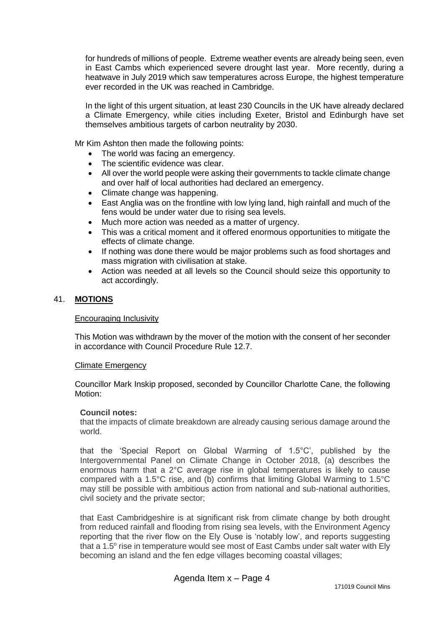for hundreds of millions of people. Extreme weather events are already being seen, even in East Cambs which experienced severe drought last year. More recently, during a heatwave in July 2019 which saw temperatures across Europe, the highest temperature ever recorded in the UK was reached in Cambridge.

In the light of this urgent situation, at least 230 Councils in the UK have already declared a Climate Emergency, while cities including Exeter, Bristol and Edinburgh have set themselves ambitious targets of carbon neutrality by 2030.

Mr Kim Ashton then made the following points:

- The world was facing an emergency.
- The scientific evidence was clear.
- All over the world people were asking their governments to tackle climate change and over half of local authorities had declared an emergency.
- Climate change was happening.
- East Anglia was on the frontline with low lying land, high rainfall and much of the fens would be under water due to rising sea levels.
- Much more action was needed as a matter of urgency.
- This was a critical moment and it offered enormous opportunities to mitigate the effects of climate change.
- If nothing was done there would be major problems such as food shortages and mass migration with civilisation at stake.
- Action was needed at all levels so the Council should seize this opportunity to act accordingly.

#### 41. **MOTIONS**

#### Encouraging Inclusivity

This Motion was withdrawn by the mover of the motion with the consent of her seconder in accordance with Council Procedure Rule 12.7.

#### Climate Emergency

Councillor Mark Inskip proposed, seconded by Councillor Charlotte Cane, the following Motion:

#### **Council notes:**

that the impacts of climate breakdown are already causing serious damage around the world.

that the 'Special Report on Global Warming of 1.5°C', published by the Intergovernmental Panel on Climate Change in October 2018, (a) describes the enormous harm that a 2°C average rise in global temperatures is likely to cause compared with a 1.5°C rise, and (b) confirms that limiting Global Warming to 1.5°C may still be possible with ambitious action from national and sub-national authorities, civil society and the private sector;

that East Cambridgeshire is at significant risk from climate change by both drought from reduced rainfall and flooding from rising sea levels, with the Environment Agency reporting that the river flow on the Ely Ouse is 'notably low', and reports suggesting that a 1.5° rise in temperature would see most of East Cambs under salt water with Ely becoming an island and the fen edge villages becoming coastal villages;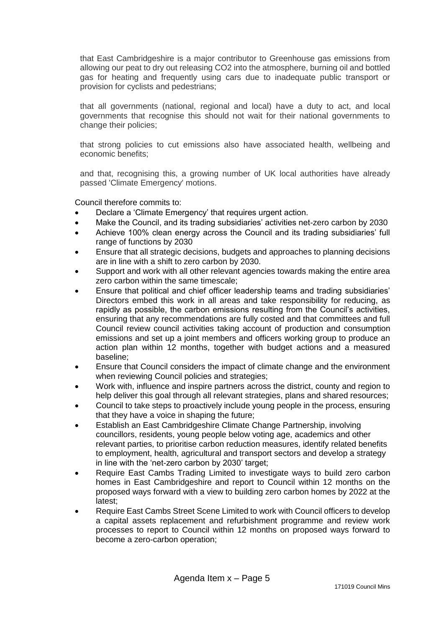that East Cambridgeshire is a major contributor to Greenhouse gas emissions from allowing our peat to dry out releasing CO2 into the atmosphere, burning oil and bottled gas for heating and frequently using cars due to inadequate public transport or provision for cyclists and pedestrians;

that all governments (national, regional and local) have a duty to act, and local governments that recognise this should not wait for their national governments to change their policies;

that strong policies to cut emissions also have associated health, wellbeing and economic benefits;

and that, recognising this, a growing number of UK local authorities have already passed 'Climate Emergency' motions.

Council therefore commits to:

- Declare a 'Climate Emergency' that requires urgent action.
- Make the Council, and its trading subsidiaries' activities net-zero carbon by 2030
- Achieve 100% clean energy across the Council and its trading subsidiaries' full range of functions by 2030
- Ensure that all strategic decisions, budgets and approaches to planning decisions are in line with a shift to zero carbon by 2030.
- Support and work with all other relevant agencies towards making the entire area zero carbon within the same timescale;
- Ensure that political and chief officer leadership teams and trading subsidiaries' Directors embed this work in all areas and take responsibility for reducing, as rapidly as possible, the carbon emissions resulting from the Council's activities, ensuring that any recommendations are fully costed and that committees and full Council review council activities taking account of production and consumption emissions and set up a joint members and officers working group to produce an action plan within 12 months, together with budget actions and a measured baseline;
- Ensure that Council considers the impact of climate change and the environment when reviewing Council policies and strategies;
- Work with, influence and inspire partners across the district, county and region to help deliver this goal through all relevant strategies, plans and shared resources;
- Council to take steps to proactively include young people in the process, ensuring that they have a voice in shaping the future;
- Establish an East Cambridgeshire Climate Change Partnership, involving councillors, residents, young people below voting age, academics and other relevant parties, to prioritise carbon reduction measures, identify related benefits to employment, health, agricultural and transport sectors and develop a strategy in line with the 'net-zero carbon by 2030' target;
- Require East Cambs Trading Limited to investigate ways to build zero carbon homes in East Cambridgeshire and report to Council within 12 months on the proposed ways forward with a view to building zero carbon homes by 2022 at the latest;
- Require East Cambs Street Scene Limited to work with Council officers to develop a capital assets replacement and refurbishment programme and review work processes to report to Council within 12 months on proposed ways forward to become a zero-carbon operation;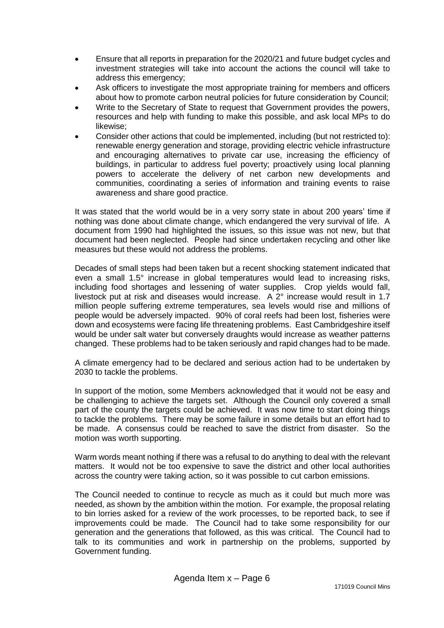- Ensure that all reports in preparation for the 2020/21 and future budget cycles and investment strategies will take into account the actions the council will take to address this emergency;
- Ask officers to investigate the most appropriate training for members and officers about how to promote carbon neutral policies for future consideration by Council;
- Write to the Secretary of State to request that Government provides the powers, resources and help with funding to make this possible, and ask local MPs to do likewise;
- Consider other actions that could be implemented, including (but not restricted to): renewable energy generation and storage, providing electric vehicle infrastructure and encouraging alternatives to private car use, increasing the efficiency of buildings, in particular to address fuel poverty; proactively using local planning powers to accelerate the delivery of net carbon new developments and communities, coordinating a series of information and training events to raise awareness and share good practice.

It was stated that the world would be in a very sorry state in about 200 years' time if nothing was done about climate change, which endangered the very survival of life. A document from 1990 had highlighted the issues, so this issue was not new, but that document had been neglected. People had since undertaken recycling and other like measures but these would not address the problems.

Decades of small steps had been taken but a recent shocking statement indicated that even a small 1.5° increase in global temperatures would lead to increasing risks, including food shortages and lessening of water supplies. Crop yields would fall, livestock put at risk and diseases would increase. A 2° increase would result in 1.7 million people suffering extreme temperatures, sea levels would rise and millions of people would be adversely impacted. 90% of coral reefs had been lost, fisheries were down and ecosystems were facing life threatening problems. East Cambridgeshire itself would be under salt water but conversely draughts would increase as weather patterns changed. These problems had to be taken seriously and rapid changes had to be made.

A climate emergency had to be declared and serious action had to be undertaken by 2030 to tackle the problems.

In support of the motion, some Members acknowledged that it would not be easy and be challenging to achieve the targets set. Although the Council only covered a small part of the county the targets could be achieved. It was now time to start doing things to tackle the problems. There may be some failure in some details but an effort had to be made. A consensus could be reached to save the district from disaster. So the motion was worth supporting.

Warm words meant nothing if there was a refusal to do anything to deal with the relevant matters. It would not be too expensive to save the district and other local authorities across the country were taking action, so it was possible to cut carbon emissions.

The Council needed to continue to recycle as much as it could but much more was needed, as shown by the ambition within the motion. For example, the proposal relating to bin lorries asked for a review of the work processes, to be reported back, to see if improvements could be made. The Council had to take some responsibility for our generation and the generations that followed, as this was critical. The Council had to talk to its communities and work in partnership on the problems, supported by Government funding.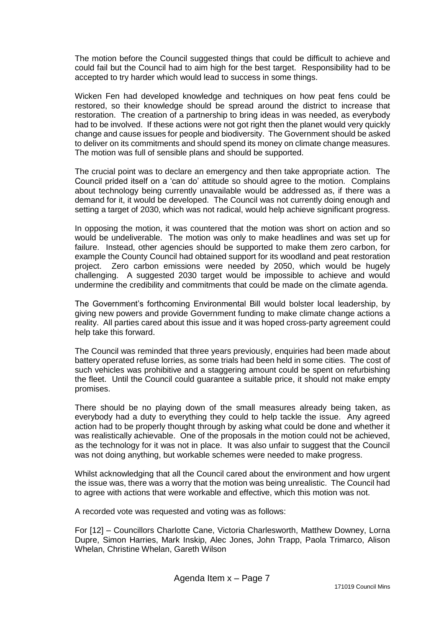The motion before the Council suggested things that could be difficult to achieve and could fail but the Council had to aim high for the best target. Responsibility had to be accepted to try harder which would lead to success in some things.

Wicken Fen had developed knowledge and techniques on how peat fens could be restored, so their knowledge should be spread around the district to increase that restoration. The creation of a partnership to bring ideas in was needed, as everybody had to be involved. If these actions were not got right then the planet would very quickly change and cause issues for people and biodiversity. The Government should be asked to deliver on its commitments and should spend its money on climate change measures. The motion was full of sensible plans and should be supported.

The crucial point was to declare an emergency and then take appropriate action. The Council prided itself on a 'can do' attitude so should agree to the motion. Complains about technology being currently unavailable would be addressed as, if there was a demand for it, it would be developed. The Council was not currently doing enough and setting a target of 2030, which was not radical, would help achieve significant progress.

In opposing the motion, it was countered that the motion was short on action and so would be undeliverable. The motion was only to make headlines and was set up for failure. Instead, other agencies should be supported to make them zero carbon, for example the County Council had obtained support for its woodland and peat restoration project. Zero carbon emissions were needed by 2050, which would be hugely challenging. A suggested 2030 target would be impossible to achieve and would undermine the credibility and commitments that could be made on the climate agenda.

The Government's forthcoming Environmental Bill would bolster local leadership, by giving new powers and provide Government funding to make climate change actions a reality. All parties cared about this issue and it was hoped cross-party agreement could help take this forward.

The Council was reminded that three years previously, enquiries had been made about battery operated refuse lorries, as some trials had been held in some cities. The cost of such vehicles was prohibitive and a staggering amount could be spent on refurbishing the fleet. Until the Council could guarantee a suitable price, it should not make empty promises.

There should be no playing down of the small measures already being taken, as everybody had a duty to everything they could to help tackle the issue. Any agreed action had to be properly thought through by asking what could be done and whether it was realistically achievable. One of the proposals in the motion could not be achieved, as the technology for it was not in place. It was also unfair to suggest that the Council was not doing anything, but workable schemes were needed to make progress.

Whilst acknowledging that all the Council cared about the environment and how urgent the issue was, there was a worry that the motion was being unrealistic. The Council had to agree with actions that were workable and effective, which this motion was not.

A recorded vote was requested and voting was as follows:

For [12] – Councillors Charlotte Cane, Victoria Charlesworth, Matthew Downey, Lorna Dupre, Simon Harries, Mark Inskip, Alec Jones, John Trapp, Paola Trimarco, Alison Whelan, Christine Whelan, Gareth Wilson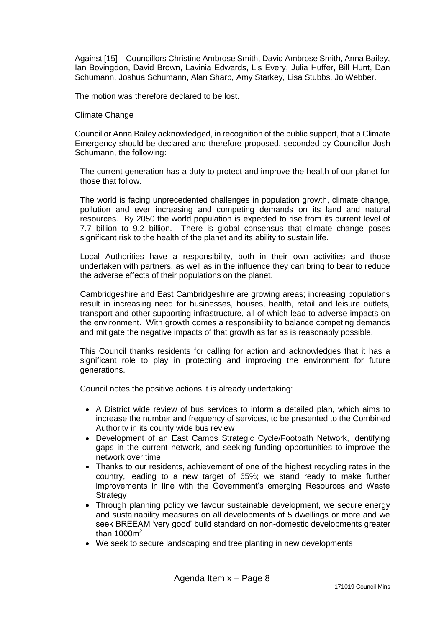Against [15] – Councillors Christine Ambrose Smith, David Ambrose Smith, Anna Bailey, Ian Bovingdon, David Brown, Lavinia Edwards, Lis Every, Julia Huffer, Bill Hunt, Dan Schumann, Joshua Schumann, Alan Sharp, Amy Starkey, Lisa Stubbs, Jo Webber.

The motion was therefore declared to be lost.

#### Climate Change

Councillor Anna Bailey acknowledged, in recognition of the public support, that a Climate Emergency should be declared and therefore proposed, seconded by Councillor Josh Schumann, the following:

The current generation has a duty to protect and improve the health of our planet for those that follow.

The world is facing unprecedented challenges in population growth, climate change, pollution and ever increasing and competing demands on its land and natural resources. By 2050 the world population is expected to rise from its current level of 7.7 billion to 9.2 billion. There is global consensus that climate change poses significant risk to the health of the planet and its ability to sustain life.

Local Authorities have a responsibility, both in their own activities and those undertaken with partners, as well as in the influence they can bring to bear to reduce the adverse effects of their populations on the planet.

Cambridgeshire and East Cambridgeshire are growing areas; increasing populations result in increasing need for businesses, houses, health, retail and leisure outlets, transport and other supporting infrastructure, all of which lead to adverse impacts on the environment. With growth comes a responsibility to balance competing demands and mitigate the negative impacts of that growth as far as is reasonably possible.

This Council thanks residents for calling for action and acknowledges that it has a significant role to play in protecting and improving the environment for future generations.

Council notes the positive actions it is already undertaking:

- A District wide review of bus services to inform a detailed plan, which aims to increase the number and frequency of services, to be presented to the Combined Authority in its county wide bus review
- Development of an East Cambs Strategic Cycle/Footpath Network, identifying gaps in the current network, and seeking funding opportunities to improve the network over time
- Thanks to our residents, achievement of one of the highest recycling rates in the country, leading to a new target of 65%; we stand ready to make further improvements in line with the Government's emerging Resources and Waste **Strategy**
- Through planning policy we favour sustainable development, we secure energy and sustainability measures on all developments of 5 dwellings or more and we seek BREEAM 'very good' build standard on non-domestic developments greater than  $1000m^2$
- We seek to secure landscaping and tree planting in new developments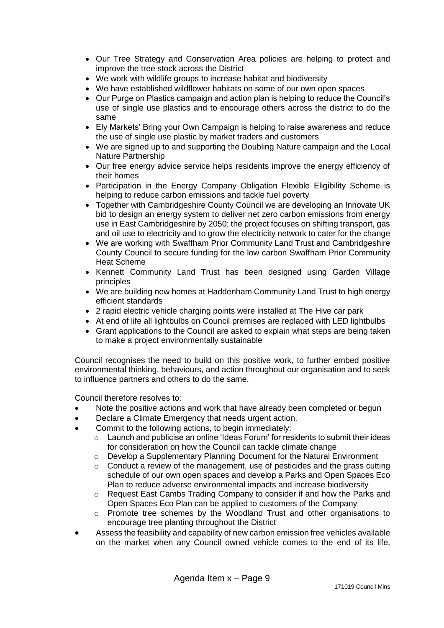- Our Tree Strategy and Conservation Area policies are helping to protect and improve the tree stock across the District
- We work with wildlife groups to increase habitat and biodiversity
- We have established wildflower habitats on some of our own open spaces
- Our Purge on Plastics campaign and action plan is helping to reduce the Council's use of single use plastics and to encourage others across the district to do the same
- Ely Markets' Bring your Own Campaign is helping to raise awareness and reduce the use of single use plastic by market traders and customers
- We are signed up to and supporting the Doubling Nature campaign and the Local Nature Partnership
- Our free energy advice service helps residents improve the energy efficiency of their homes
- Participation in the Energy Company Obligation Flexible Eligibility Scheme is helping to reduce carbon emissions and tackle fuel poverty
- Together with Cambridgeshire County Council we are developing an Innovate UK bid to design an energy system to deliver net zero carbon emissions from energy use in East Cambridgeshire by 2050; the project focuses on shifting transport, gas and oil use to electricity and to grow the electricity network to cater for the change
- We are working with Swaffham Prior Community Land Trust and Cambridgeshire County Council to secure funding for the low carbon Swaffham Prior Community Heat Scheme
- Kennett Community Land Trust has been designed using Garden Village principles
- We are building new homes at Haddenham Community Land Trust to high energy efficient standards
- 2 rapid electric vehicle charging points were installed at The Hive car park
- At end of life all lightbulbs on Council premises are replaced with LED lightbulbs
- Grant applications to the Council are asked to explain what steps are being taken to make a project environmentally sustainable

Council recognises the need to build on this positive work, to further embed positive environmental thinking, behaviours, and action throughout our organisation and to seek to influence partners and others to do the same.

Council therefore resolves to:

- Note the positive actions and work that have already been completed or begun
- Declare a Climate Emergency that needs urgent action.
- Commit to the following actions, to begin immediately:
	- o Launch and publicise an online 'Ideas Forum' for residents to submit their ideas for consideration on how the Council can tackle climate change
	- o Develop a Supplementary Planning Document for the Natural Environment
	- $\circ$  Conduct a review of the management, use of pesticides and the grass cutting schedule of our own open spaces and develop a Parks and Open Spaces Eco Plan to reduce adverse environmental impacts and increase biodiversity
	- o Request East Cambs Trading Company to consider if and how the Parks and Open Spaces Eco Plan can be applied to customers of the Company
	- o Promote tree schemes by the Woodland Trust and other organisations to encourage tree planting throughout the District
- Assess the feasibility and capability of new carbon emission free vehicles available on the market when any Council owned vehicle comes to the end of its life,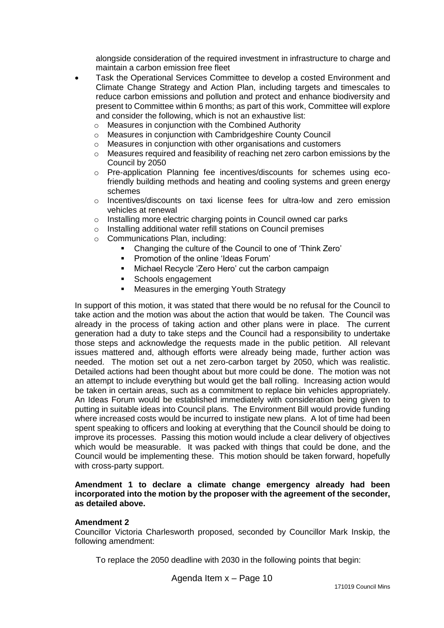alongside consideration of the required investment in infrastructure to charge and maintain a carbon emission free fleet

- Task the Operational Services Committee to develop a costed Environment and Climate Change Strategy and Action Plan, including targets and timescales to reduce carbon emissions and pollution and protect and enhance biodiversity and present to Committee within 6 months; as part of this work, Committee will explore and consider the following, which is not an exhaustive list:
	- o Measures in conjunction with the Combined Authority
	- o Measures in conjunction with Cambridgeshire County Council
	- o Measures in conjunction with other organisations and customers
	- o Measures required and feasibility of reaching net zero carbon emissions by the Council by 2050
	- o Pre-application Planning fee incentives/discounts for schemes using ecofriendly building methods and heating and cooling systems and green energy schemes
	- o Incentives/discounts on taxi license fees for ultra-low and zero emission vehicles at renewal
	- o Installing more electric charging points in Council owned car parks
	- o Installing additional water refill stations on Council premises
	- o Communications Plan, including:
		- Changing the culture of the Council to one of 'Think Zero'
		- **Promotion of the online 'Ideas Forum'**
		- Michael Recycle 'Zero Hero' cut the carbon campaign
		- Schools engagement
		- **Measures in the emerging Youth Strategy**

In support of this motion, it was stated that there would be no refusal for the Council to take action and the motion was about the action that would be taken. The Council was already in the process of taking action and other plans were in place. The current generation had a duty to take steps and the Council had a responsibility to undertake those steps and acknowledge the requests made in the public petition. All relevant issues mattered and, although efforts were already being made, further action was needed. The motion set out a net zero-carbon target by 2050, which was realistic. Detailed actions had been thought about but more could be done. The motion was not an attempt to include everything but would get the ball rolling. Increasing action would be taken in certain areas, such as a commitment to replace bin vehicles appropriately. An Ideas Forum would be established immediately with consideration being given to putting in suitable ideas into Council plans. The Environment Bill would provide funding where increased costs would be incurred to instigate new plans. A lot of time had been spent speaking to officers and looking at everything that the Council should be doing to improve its processes. Passing this motion would include a clear delivery of objectives which would be measurable. It was packed with things that could be done, and the Council would be implementing these. This motion should be taken forward, hopefully with cross-party support.

#### **Amendment 1 to declare a climate change emergency already had been incorporated into the motion by the proposer with the agreement of the seconder, as detailed above.**

#### **Amendment 2**

Councillor Victoria Charlesworth proposed, seconded by Councillor Mark Inskip, the following amendment:

To replace the 2050 deadline with 2030 in the following points that begin:

Agenda Item x – Page 10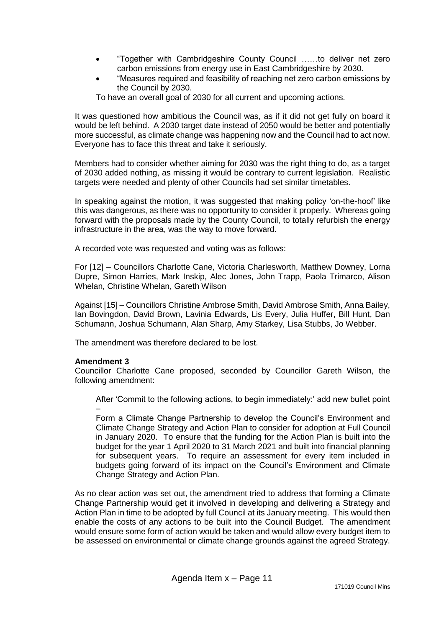- "Together with Cambridgeshire County Council ……to deliver net zero carbon emissions from energy use in East Cambridgeshire by 2030.
- "Measures required and feasibility of reaching net zero carbon emissions by the Council by 2030.

To have an overall goal of 2030 for all current and upcoming actions.

It was questioned how ambitious the Council was, as if it did not get fully on board it would be left behind. A 2030 target date instead of 2050 would be better and potentially more successful, as climate change was happening now and the Council had to act now. Everyone has to face this threat and take it seriously.

Members had to consider whether aiming for 2030 was the right thing to do, as a target of 2030 added nothing, as missing it would be contrary to current legislation. Realistic targets were needed and plenty of other Councils had set similar timetables.

In speaking against the motion, it was suggested that making policy 'on-the-hoof' like this was dangerous, as there was no opportunity to consider it properly. Whereas going forward with the proposals made by the County Council, to totally refurbish the energy infrastructure in the area, was the way to move forward.

A recorded vote was requested and voting was as follows:

For [12] – Councillors Charlotte Cane, Victoria Charlesworth, Matthew Downey, Lorna Dupre, Simon Harries, Mark Inskip, Alec Jones, John Trapp, Paola Trimarco, Alison Whelan, Christine Whelan, Gareth Wilson

Against [15] – Councillors Christine Ambrose Smith, David Ambrose Smith, Anna Bailey, Ian Bovingdon, David Brown, Lavinia Edwards, Lis Every, Julia Huffer, Bill Hunt, Dan Schumann, Joshua Schumann, Alan Sharp, Amy Starkey, Lisa Stubbs, Jo Webber.

The amendment was therefore declared to be lost.

### **Amendment 3**

Councillor Charlotte Cane proposed, seconded by Councillor Gareth Wilson, the following amendment:

After 'Commit to the following actions, to begin immediately:' add new bullet point –

Form a Climate Change Partnership to develop the Council's Environment and Climate Change Strategy and Action Plan to consider for adoption at Full Council in January 2020. To ensure that the funding for the Action Plan is built into the budget for the year 1 April 2020 to 31 March 2021 and built into financial planning for subsequent years. To require an assessment for every item included in budgets going forward of its impact on the Council's Environment and Climate Change Strategy and Action Plan.

As no clear action was set out, the amendment tried to address that forming a Climate Change Partnership would get it involved in developing and delivering a Strategy and Action Plan in time to be adopted by full Council at its January meeting. This would then enable the costs of any actions to be built into the Council Budget. The amendment would ensure some form of action would be taken and would allow every budget item to be assessed on environmental or climate change grounds against the agreed Strategy.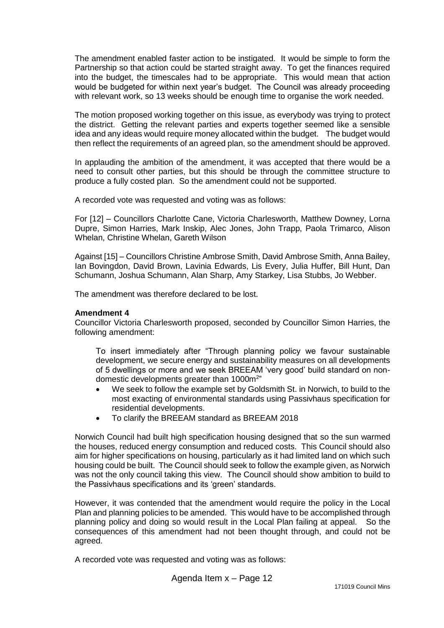The amendment enabled faster action to be instigated. It would be simple to form the Partnership so that action could be started straight away. To get the finances required into the budget, the timescales had to be appropriate. This would mean that action would be budgeted for within next year's budget. The Council was already proceeding with relevant work, so 13 weeks should be enough time to organise the work needed.

The motion proposed working together on this issue, as everybody was trying to protect the district. Getting the relevant parties and experts together seemed like a sensible idea and any ideas would require money allocated within the budget. The budget would then reflect the requirements of an agreed plan, so the amendment should be approved.

In applauding the ambition of the amendment, it was accepted that there would be a need to consult other parties, but this should be through the committee structure to produce a fully costed plan. So the amendment could not be supported.

A recorded vote was requested and voting was as follows:

For [12] – Councillors Charlotte Cane, Victoria Charlesworth, Matthew Downey, Lorna Dupre, Simon Harries, Mark Inskip, Alec Jones, John Trapp, Paola Trimarco, Alison Whelan, Christine Whelan, Gareth Wilson

Against [15] – Councillors Christine Ambrose Smith, David Ambrose Smith, Anna Bailey, Ian Bovingdon, David Brown, Lavinia Edwards, Lis Every, Julia Huffer, Bill Hunt, Dan Schumann, Joshua Schumann, Alan Sharp, Amy Starkey, Lisa Stubbs, Jo Webber.

The amendment was therefore declared to be lost.

#### **Amendment 4**

Councillor Victoria Charlesworth proposed, seconded by Councillor Simon Harries, the following amendment:

To insert immediately after "Through planning policy we favour sustainable development, we secure energy and sustainability measures on all developments of 5 dwellings or more and we seek BREEAM 'very good' build standard on nondomestic developments greater than 1000m<sup>2</sup>"

- We seek to follow the example set by Goldsmith St. in Norwich, to build to the most exacting of environmental standards using Passivhaus specification for residential developments.
- To clarify the BREEAM standard as BREEAM 2018

Norwich Council had built high specification housing designed that so the sun warmed the houses, reduced energy consumption and reduced costs. This Council should also aim for higher specifications on housing, particularly as it had limited land on which such housing could be built. The Council should seek to follow the example given, as Norwich was not the only council taking this view. The Council should show ambition to build to the Passivhaus specifications and its 'green' standards.

However, it was contended that the amendment would require the policy in the Local Plan and planning policies to be amended. This would have to be accomplished through planning policy and doing so would result in the Local Plan failing at appeal. So the consequences of this amendment had not been thought through, and could not be agreed.

A recorded vote was requested and voting was as follows: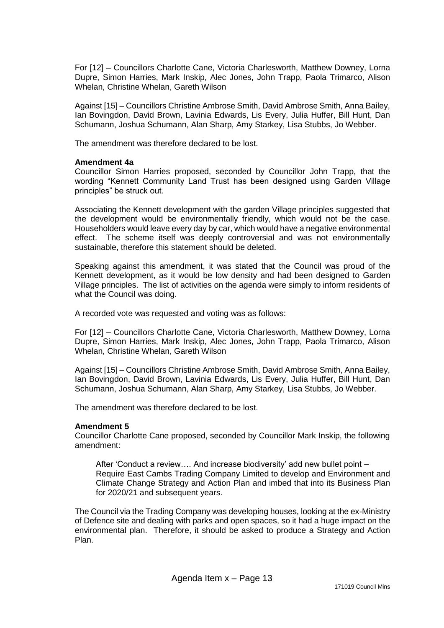For [12] – Councillors Charlotte Cane, Victoria Charlesworth, Matthew Downey, Lorna Dupre, Simon Harries, Mark Inskip, Alec Jones, John Trapp, Paola Trimarco, Alison Whelan, Christine Whelan, Gareth Wilson

Against [15] – Councillors Christine Ambrose Smith, David Ambrose Smith, Anna Bailey, Ian Bovingdon, David Brown, Lavinia Edwards, Lis Every, Julia Huffer, Bill Hunt, Dan Schumann, Joshua Schumann, Alan Sharp, Amy Starkey, Lisa Stubbs, Jo Webber.

The amendment was therefore declared to be lost.

#### **Amendment 4a**

Councillor Simon Harries proposed, seconded by Councillor John Trapp, that the wording "Kennett Community Land Trust has been designed using Garden Village principles" be struck out.

Associating the Kennett development with the garden Village principles suggested that the development would be environmentally friendly, which would not be the case. Householders would leave every day by car, which would have a negative environmental effect. The scheme itself was deeply controversial and was not environmentally sustainable, therefore this statement should be deleted.

Speaking against this amendment, it was stated that the Council was proud of the Kennett development, as it would be low density and had been designed to Garden Village principles. The list of activities on the agenda were simply to inform residents of what the Council was doing.

A recorded vote was requested and voting was as follows:

For [12] – Councillors Charlotte Cane, Victoria Charlesworth, Matthew Downey, Lorna Dupre, Simon Harries, Mark Inskip, Alec Jones, John Trapp, Paola Trimarco, Alison Whelan, Christine Whelan, Gareth Wilson

Against [15] – Councillors Christine Ambrose Smith, David Ambrose Smith, Anna Bailey, Ian Bovingdon, David Brown, Lavinia Edwards, Lis Every, Julia Huffer, Bill Hunt, Dan Schumann, Joshua Schumann, Alan Sharp, Amy Starkey, Lisa Stubbs, Jo Webber.

The amendment was therefore declared to be lost.

### **Amendment 5**

Councillor Charlotte Cane proposed, seconded by Councillor Mark Inskip, the following amendment:

After 'Conduct a review…. And increase biodiversity' add new bullet point – Require East Cambs Trading Company Limited to develop and Environment and Climate Change Strategy and Action Plan and imbed that into its Business Plan for 2020/21 and subsequent years.

The Council via the Trading Company was developing houses, looking at the ex-Ministry of Defence site and dealing with parks and open spaces, so it had a huge impact on the environmental plan. Therefore, it should be asked to produce a Strategy and Action Plan.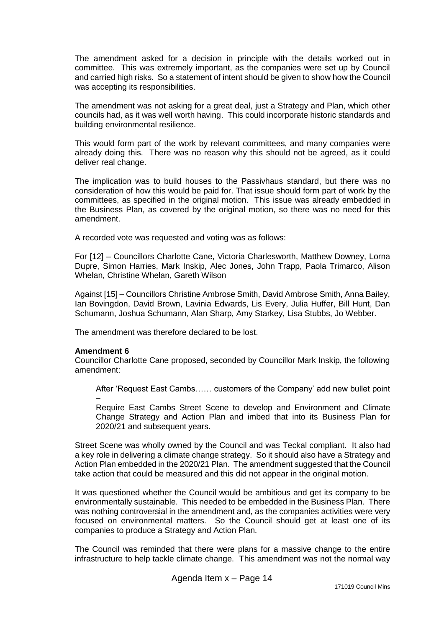The amendment asked for a decision in principle with the details worked out in committee. This was extremely important, as the companies were set up by Council and carried high risks. So a statement of intent should be given to show how the Council was accepting its responsibilities.

The amendment was not asking for a great deal, just a Strategy and Plan, which other councils had, as it was well worth having. This could incorporate historic standards and building environmental resilience.

This would form part of the work by relevant committees, and many companies were already doing this. There was no reason why this should not be agreed, as it could deliver real change.

The implication was to build houses to the Passivhaus standard, but there was no consideration of how this would be paid for. That issue should form part of work by the committees, as specified in the original motion. This issue was already embedded in the Business Plan, as covered by the original motion, so there was no need for this amendment.

A recorded vote was requested and voting was as follows:

For [12] – Councillors Charlotte Cane, Victoria Charlesworth, Matthew Downey, Lorna Dupre, Simon Harries, Mark Inskip, Alec Jones, John Trapp, Paola Trimarco, Alison Whelan, Christine Whelan, Gareth Wilson

Against [15] – Councillors Christine Ambrose Smith, David Ambrose Smith, Anna Bailey, Ian Bovingdon, David Brown, Lavinia Edwards, Lis Every, Julia Huffer, Bill Hunt, Dan Schumann, Joshua Schumann, Alan Sharp, Amy Starkey, Lisa Stubbs, Jo Webber.

The amendment was therefore declared to be lost.

### **Amendment 6**

Councillor Charlotte Cane proposed, seconded by Councillor Mark Inskip, the following amendment:

After 'Request East Cambs…… customers of the Company' add new bullet point

– Require East Cambs Street Scene to develop and Environment and Climate Change Strategy and Action Plan and imbed that into its Business Plan for 2020/21 and subsequent years.

Street Scene was wholly owned by the Council and was Teckal compliant. It also had a key role in delivering a climate change strategy. So it should also have a Strategy and Action Plan embedded in the 2020/21 Plan. The amendment suggested that the Council take action that could be measured and this did not appear in the original motion.

It was questioned whether the Council would be ambitious and get its company to be environmentally sustainable. This needed to be embedded in the Business Plan. There was nothing controversial in the amendment and, as the companies activities were very focused on environmental matters. So the Council should get at least one of its companies to produce a Strategy and Action Plan.

The Council was reminded that there were plans for a massive change to the entire infrastructure to help tackle climate change. This amendment was not the normal way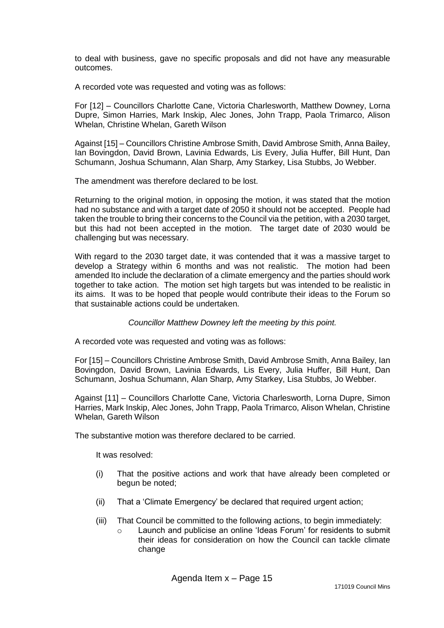to deal with business, gave no specific proposals and did not have any measurable outcomes.

A recorded vote was requested and voting was as follows:

For [12] – Councillors Charlotte Cane, Victoria Charlesworth, Matthew Downey, Lorna Dupre, Simon Harries, Mark Inskip, Alec Jones, John Trapp, Paola Trimarco, Alison Whelan, Christine Whelan, Gareth Wilson

Against [15] – Councillors Christine Ambrose Smith, David Ambrose Smith, Anna Bailey, Ian Bovingdon, David Brown, Lavinia Edwards, Lis Every, Julia Huffer, Bill Hunt, Dan Schumann, Joshua Schumann, Alan Sharp, Amy Starkey, Lisa Stubbs, Jo Webber.

The amendment was therefore declared to be lost.

Returning to the original motion, in opposing the motion, it was stated that the motion had no substance and with a target date of 2050 it should not be accepted. People had taken the trouble to bring their concerns to the Council via the petition, with a 2030 target, but this had not been accepted in the motion. The target date of 2030 would be challenging but was necessary.

With regard to the 2030 target date, it was contended that it was a massive target to develop a Strategy within 6 months and was not realistic. The motion had been amended Ito include the declaration of a climate emergency and the parties should work together to take action. The motion set high targets but was intended to be realistic in its aims. It was to be hoped that people would contribute their ideas to the Forum so that sustainable actions could be undertaken.

### *Councillor Matthew Downey left the meeting by this point.*

A recorded vote was requested and voting was as follows:

For [15] – Councillors Christine Ambrose Smith, David Ambrose Smith, Anna Bailey, Ian Bovingdon, David Brown, Lavinia Edwards, Lis Every, Julia Huffer, Bill Hunt, Dan Schumann, Joshua Schumann, Alan Sharp, Amy Starkey, Lisa Stubbs, Jo Webber.

Against [11] – Councillors Charlotte Cane, Victoria Charlesworth, Lorna Dupre, Simon Harries, Mark Inskip, Alec Jones, John Trapp, Paola Trimarco, Alison Whelan, Christine Whelan, Gareth Wilson

The substantive motion was therefore declared to be carried.

It was resolved:

- (i) That the positive actions and work that have already been completed or begun be noted;
- (ii) That a 'Climate Emergency' be declared that required urgent action;
- (iii) That Council be committed to the following actions, to begin immediately:
	- o Launch and publicise an online 'Ideas Forum' for residents to submit their ideas for consideration on how the Council can tackle climate change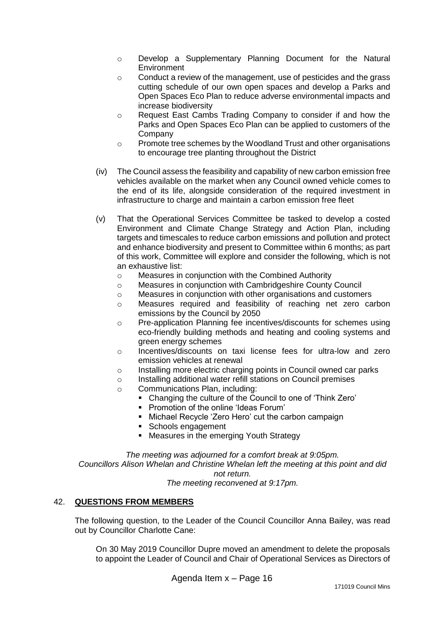- o Develop a Supplementary Planning Document for the Natural Environment
- o Conduct a review of the management, use of pesticides and the grass cutting schedule of our own open spaces and develop a Parks and Open Spaces Eco Plan to reduce adverse environmental impacts and increase biodiversity
- o Request East Cambs Trading Company to consider if and how the Parks and Open Spaces Eco Plan can be applied to customers of the **Company**
- o Promote tree schemes by the Woodland Trust and other organisations to encourage tree planting throughout the District
- (iv) The Council assess the feasibility and capability of new carbon emission free vehicles available on the market when any Council owned vehicle comes to the end of its life, alongside consideration of the required investment in infrastructure to charge and maintain a carbon emission free fleet
- (v) That the Operational Services Committee be tasked to develop a costed Environment and Climate Change Strategy and Action Plan, including targets and timescales to reduce carbon emissions and pollution and protect and enhance biodiversity and present to Committee within 6 months; as part of this work, Committee will explore and consider the following, which is not an exhaustive list:
	- o Measures in conjunction with the Combined Authority
	- o Measures in conjunction with Cambridgeshire County Council
	- o Measures in conjunction with other organisations and customers
	- o Measures required and feasibility of reaching net zero carbon emissions by the Council by 2050
	- o Pre-application Planning fee incentives/discounts for schemes using eco-friendly building methods and heating and cooling systems and green energy schemes
	- o Incentives/discounts on taxi license fees for ultra-low and zero emission vehicles at renewal
	- o Installing more electric charging points in Council owned car parks
	- o Installing additional water refill stations on Council premises
	- o Communications Plan, including:
		- Changing the culture of the Council to one of 'Think Zero'
		- Promotion of the online 'Ideas Forum'
		- Michael Recycle 'Zero Hero' cut the carbon campaign
		- Schools engagement
		- **Measures in the emerging Youth Strategy**

*The meeting was adjourned for a comfort break at 9:05pm. Councillors Alison Whelan and Christine Whelan left the meeting at this point and did not return.*

*The meeting reconvened at 9:17pm.*

### 42. **QUESTIONS FROM MEMBERS**

The following question, to the Leader of the Council Councillor Anna Bailey, was read out by Councillor Charlotte Cane:

On 30 May 2019 Councillor Dupre moved an amendment to delete the proposals to appoint the Leader of Council and Chair of Operational Services as Directors of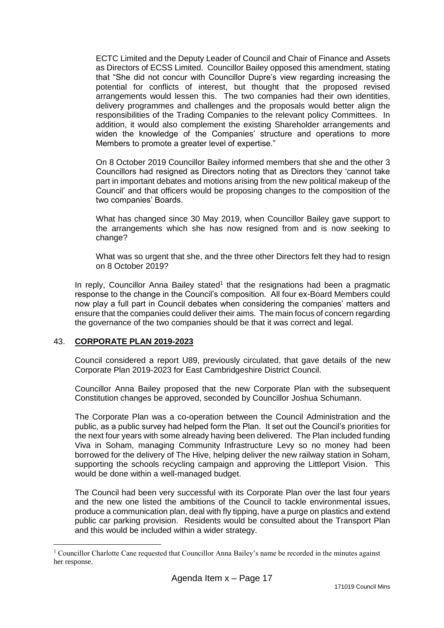ECTC Limited and the Deputy Leader of Council and Chair of Finance and Assets as Directors of ECSS Limited. Councillor Bailey opposed this amendment, stating that "She did not concur with Councillor Dupre's view regarding increasing the potential for conflicts of interest, but thought that the proposed revised arrangements would lessen this. The two companies had their own identities, delivery programmes and challenges and the proposals would better align the responsibilities of the Trading Companies to the relevant policy Committees. In addition, it would also complement the existing Shareholder arrangements and widen the knowledge of the Companies' structure and operations to more Members to promote a greater level of expertise."

On 8 October 2019 Councillor Bailey informed members that she and the other 3 Councillors had resigned as Directors noting that as Directors they 'cannot take part in important debates and motions arising from the new political makeup of the Council' and that officers would be proposing changes to the composition of the two companies' Boards.

What has changed since 30 May 2019, when Councillor Bailey gave support to the arrangements which she has now resigned from and is now seeking to change?

What was so urgent that she, and the three other Directors felt they had to resign on 8 October 2019?

In reply, Councillor Anna Bailey stated<sup>1</sup> that the resignations had been a pragmatic response to the change in the Council's composition. All four ex-Board Members could now play a full part in Council debates when considering the companies' matters and ensure that the companies could deliver their aims. The main focus of concern regarding the governance of the two companies should be that it was correct and legal.

### 43. **CORPORATE PLAN 2019-2023**

<u>.</u>

Council considered a report U89, previously circulated, that gave details of the new Corporate Plan 2019-2023 for East Cambridgeshire District Council.

Councillor Anna Bailey proposed that the new Corporate Plan with the subsequent Constitution changes be approved, seconded by Councillor Joshua Schumann.

The Corporate Plan was a co-operation between the Council Administration and the public, as a public survey had helped form the Plan. It set out the Council's priorities for the next four years with some already having been delivered. The Plan included funding Viva in Soham, managing Community Infrastructure Levy so no money had been borrowed for the delivery of The Hive, helping deliver the new railway station in Soham, supporting the schools recycling campaign and approving the Littleport Vision. This would be done within a well-managed budget.

The Council had been very successful with its Corporate Plan over the last four years and the new one listed the ambitions of the Council to tackle environmental issues, produce a communication plan, deal with fly tipping, have a purge on plastics and extend public car parking provision. Residents would be consulted about the Transport Plan and this would be included within a wider strategy.

<sup>&</sup>lt;sup>1</sup> Councillor Charlotte Cane requested that Councillor Anna Bailey's name be recorded in the minutes against her response.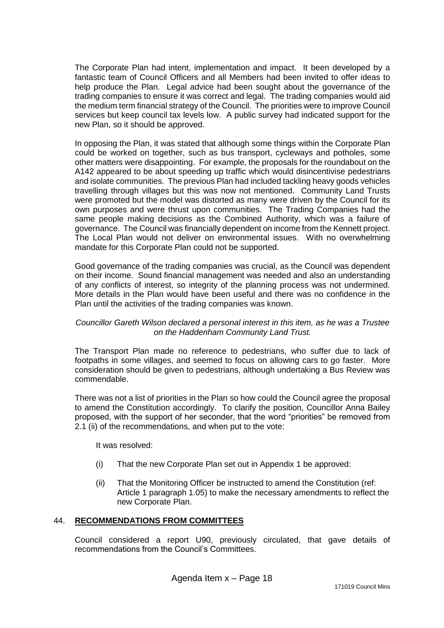The Corporate Plan had intent, implementation and impact. It been developed by a fantastic team of Council Officers and all Members had been invited to offer ideas to help produce the Plan. Legal advice had been sought about the governance of the trading companies to ensure it was correct and legal. The trading companies would aid the medium term financial strategy of the Council. The priorities were to improve Council services but keep council tax levels low. A public survey had indicated support for the new Plan, so it should be approved.

In opposing the Plan, it was stated that although some things within the Corporate Plan could be worked on together, such as bus transport, cycleways and potholes, some other matters were disappointing. For example, the proposals for the roundabout on the A142 appeared to be about speeding up traffic which would disincentivise pedestrians and isolate communities. The previous Plan had included tackling heavy goods vehicles travelling through villages but this was now not mentioned. Community Land Trusts were promoted but the model was distorted as many were driven by the Council for its own purposes and were thrust upon communities. The Trading Companies had the same people making decisions as the Combined Authority, which was a failure of governance. The Council was financially dependent on income from the Kennett project. The Local Plan would not deliver on environmental issues. With no overwhelming mandate for this Corporate Plan could not be supported.

Good governance of the trading companies was crucial, as the Council was dependent on their income. Sound financial management was needed and also an understanding of any conflicts of interest, so integrity of the planning process was not undermined. More details in the Plan would have been useful and there was no confidence in the Plan until the activities of the trading companies was known.

### *Councillor Gareth Wilson declared a personal interest in this item, as he was a Trustee on the Haddenham Community Land Trust.*

The Transport Plan made no reference to pedestrians, who suffer due to lack of footpaths in some villages, and seemed to focus on allowing cars to go faster. More consideration should be given to pedestrians, although undertaking a Bus Review was commendable.

There was not a list of priorities in the Plan so how could the Council agree the proposal to amend the Constitution accordingly. To clarify the position, Councillor Anna Bailey proposed, with the support of her seconder, that the word "priorities" be removed from 2.1 (ii) of the recommendations, and when put to the vote:

It was resolved:

- (i) That the new Corporate Plan set out in Appendix 1 be approved:
- (ii) That the Monitoring Officer be instructed to amend the Constitution (ref: Article 1 paragraph 1.05) to make the necessary amendments to reflect the new Corporate Plan.

### 44. **RECOMMENDATIONS FROM COMMITTEES**

Council considered a report U90, previously circulated, that gave details of recommendations from the Council's Committees.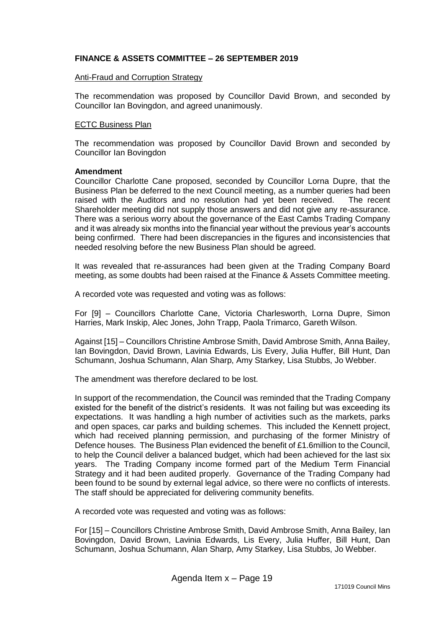### **FINANCE & ASSETS COMMITTEE** *–* **26 SEPTEMBER 2019**

#### Anti-Fraud and Corruption Strategy

The recommendation was proposed by Councillor David Brown, and seconded by Councillor Ian Bovingdon, and agreed unanimously.

#### ECTC Business Plan

The recommendation was proposed by Councillor David Brown and seconded by Councillor Ian Bovingdon

#### **Amendment**

Councillor Charlotte Cane proposed, seconded by Councillor Lorna Dupre, that the Business Plan be deferred to the next Council meeting, as a number queries had been raised with the Auditors and no resolution had yet been received. The recent Shareholder meeting did not supply those answers and did not give any re-assurance. There was a serious worry about the governance of the East Cambs Trading Company and it was already six months into the financial year without the previous year's accounts being confirmed. There had been discrepancies in the figures and inconsistencies that needed resolving before the new Business Plan should be agreed.

It was revealed that re-assurances had been given at the Trading Company Board meeting, as some doubts had been raised at the Finance & Assets Committee meeting.

A recorded vote was requested and voting was as follows:

For [9] – Councillors Charlotte Cane, Victoria Charlesworth, Lorna Dupre, Simon Harries, Mark Inskip, Alec Jones, John Trapp, Paola Trimarco, Gareth Wilson.

Against [15] – Councillors Christine Ambrose Smith, David Ambrose Smith, Anna Bailey, Ian Bovingdon, David Brown, Lavinia Edwards, Lis Every, Julia Huffer, Bill Hunt, Dan Schumann, Joshua Schumann, Alan Sharp, Amy Starkey, Lisa Stubbs, Jo Webber.

The amendment was therefore declared to be lost.

In support of the recommendation, the Council was reminded that the Trading Company existed for the benefit of the district's residents. It was not failing but was exceeding its expectations. It was handling a high number of activities such as the markets, parks and open spaces, car parks and building schemes. This included the Kennett project, which had received planning permission, and purchasing of the former Ministry of Defence houses. The Business Plan evidenced the benefit of £1.6million to the Council, to help the Council deliver a balanced budget, which had been achieved for the last six years. The Trading Company income formed part of the Medium Term Financial Strategy and it had been audited properly. Governance of the Trading Company had been found to be sound by external legal advice, so there were no conflicts of interests. The staff should be appreciated for delivering community benefits.

A recorded vote was requested and voting was as follows:

For [15] – Councillors Christine Ambrose Smith, David Ambrose Smith, Anna Bailey, Ian Bovingdon, David Brown, Lavinia Edwards, Lis Every, Julia Huffer, Bill Hunt, Dan Schumann, Joshua Schumann, Alan Sharp, Amy Starkey, Lisa Stubbs, Jo Webber.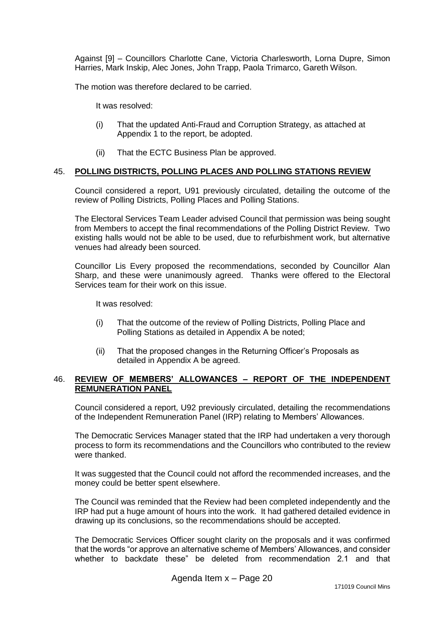Against [9] – Councillors Charlotte Cane, Victoria Charlesworth, Lorna Dupre, Simon Harries, Mark Inskip, Alec Jones, John Trapp, Paola Trimarco, Gareth Wilson.

The motion was therefore declared to be carried.

It was resolved:

- (i) That the updated Anti-Fraud and Corruption Strategy, as attached at Appendix 1 to the report, be adopted.
- (ii) That the ECTC Business Plan be approved.

#### 45. **POLLING DISTRICTS, POLLING PLACES AND POLLING STATIONS REVIEW**

Council considered a report, U91 previously circulated, detailing the outcome of the review of Polling Districts, Polling Places and Polling Stations.

The Electoral Services Team Leader advised Council that permission was being sought from Members to accept the final recommendations of the Polling District Review. Two existing halls would not be able to be used, due to refurbishment work, but alternative venues had already been sourced.

Councillor Lis Every proposed the recommendations, seconded by Councillor Alan Sharp, and these were unanimously agreed. Thanks were offered to the Electoral Services team for their work on this issue.

It was resolved:

- (i) That the outcome of the review of Polling Districts, Polling Place and Polling Stations as detailed in Appendix A be noted;
- (ii) That the proposed changes in the Returning Officer's Proposals as detailed in Appendix A be agreed.

### 46. **REVIEW OF MEMBERS' ALLOWANCES – REPORT OF THE INDEPENDENT REMUNERATION PANEL**

Council considered a report, U92 previously circulated, detailing the recommendations of the Independent Remuneration Panel (IRP) relating to Members' Allowances.

The Democratic Services Manager stated that the IRP had undertaken a very thorough process to form its recommendations and the Councillors who contributed to the review were thanked.

It was suggested that the Council could not afford the recommended increases, and the money could be better spent elsewhere.

The Council was reminded that the Review had been completed independently and the IRP had put a huge amount of hours into the work. It had gathered detailed evidence in drawing up its conclusions, so the recommendations should be accepted.

The Democratic Services Officer sought clarity on the proposals and it was confirmed that the words "or approve an alternative scheme of Members' Allowances, and consider whether to backdate these" be deleted from recommendation 2.1 and that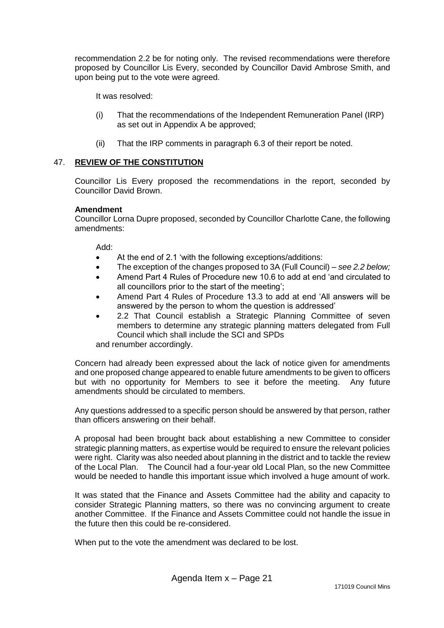recommendation 2.2 be for noting only. The revised recommendations were therefore proposed by Councillor Lis Every, seconded by Councillor David Ambrose Smith, and upon being put to the vote were agreed.

It was resolved:

- (i) That the recommendations of the Independent Remuneration Panel (IRP) as set out in Appendix A be approved;
- (ii) That the IRP comments in paragraph 6.3 of their report be noted.

# 47. **REVIEW OF THE CONSTITUTION**

Councillor Lis Every proposed the recommendations in the report, seconded by Councillor David Brown.

### **Amendment**

Councillor Lorna Dupre proposed, seconded by Councillor Charlotte Cane, the following amendments:

Add:

- At the end of 2.1 'with the following exceptions/additions:
- The exception of the changes proposed to 3A (Full Council) *see 2.2 below;*
- Amend Part 4 Rules of Procedure new 10.6 to add at end 'and circulated to all councillors prior to the start of the meeting';
- Amend Part 4 Rules of Procedure 13.3 to add at end 'All answers will be answered by the person to whom the question is addressed'
- 2.2 That Council establish a Strategic Planning Committee of seven members to determine any strategic planning matters delegated from Full Council which shall include the SCI and SPDs

and renumber accordingly.

Concern had already been expressed about the lack of notice given for amendments and one proposed change appeared to enable future amendments to be given to officers but with no opportunity for Members to see it before the meeting. Any future amendments should be circulated to members.

Any questions addressed to a specific person should be answered by that person, rather than officers answering on their behalf.

A proposal had been brought back about establishing a new Committee to consider strategic planning matters, as expertise would be required to ensure the relevant policies were right. Clarity was also needed about planning in the district and to tackle the review of the Local Plan. The Council had a four-year old Local Plan, so the new Committee would be needed to handle this important issue which involved a huge amount of work.

It was stated that the Finance and Assets Committee had the ability and capacity to consider Strategic Planning matters, so there was no convincing argument to create another Committee. If the Finance and Assets Committee could not handle the issue in the future then this could be re-considered.

When put to the vote the amendment was declared to be lost.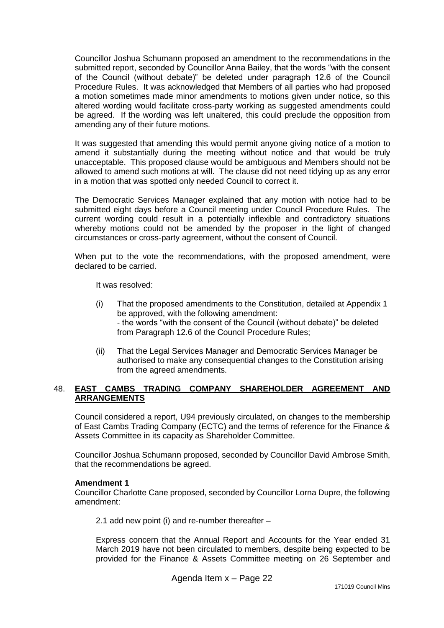Councillor Joshua Schumann proposed an amendment to the recommendations in the submitted report, seconded by Councillor Anna Bailey, that the words "with the consent of the Council (without debate)" be deleted under paragraph 12.6 of the Council Procedure Rules. It was acknowledged that Members of all parties who had proposed a motion sometimes made minor amendments to motions given under notice, so this altered wording would facilitate cross-party working as suggested amendments could be agreed. If the wording was left unaltered, this could preclude the opposition from amending any of their future motions.

It was suggested that amending this would permit anyone giving notice of a motion to amend it substantially during the meeting without notice and that would be truly unacceptable. This proposed clause would be ambiguous and Members should not be allowed to amend such motions at will. The clause did not need tidying up as any error in a motion that was spotted only needed Council to correct it.

The Democratic Services Manager explained that any motion with notice had to be submitted eight days before a Council meeting under Council Procedure Rules. The current wording could result in a potentially inflexible and contradictory situations whereby motions could not be amended by the proposer in the light of changed circumstances or cross-party agreement, without the consent of Council.

When put to the vote the recommendations, with the proposed amendment, were declared to be carried.

It was resolved:

- (i) That the proposed amendments to the Constitution, detailed at Appendix 1 be approved, with the following amendment: - the words "with the consent of the Council (without debate)" be deleted from Paragraph 12.6 of the Council Procedure Rules;
- (ii) That the Legal Services Manager and Democratic Services Manager be authorised to make any consequential changes to the Constitution arising from the agreed amendments.

## 48. **EAST CAMBS TRADING COMPANY SHAREHOLDER AGREEMENT AND ARRANGEMENTS**

Council considered a report, U94 previously circulated, on changes to the membership of East Cambs Trading Company (ECTC) and the terms of reference for the Finance & Assets Committee in its capacity as Shareholder Committee.

Councillor Joshua Schumann proposed, seconded by Councillor David Ambrose Smith, that the recommendations be agreed.

### **Amendment 1**

Councillor Charlotte Cane proposed, seconded by Councillor Lorna Dupre, the following amendment:

2.1 add new point (i) and re-number thereafter –

Express concern that the Annual Report and Accounts for the Year ended 31 March 2019 have not been circulated to members, despite being expected to be provided for the Finance & Assets Committee meeting on 26 September and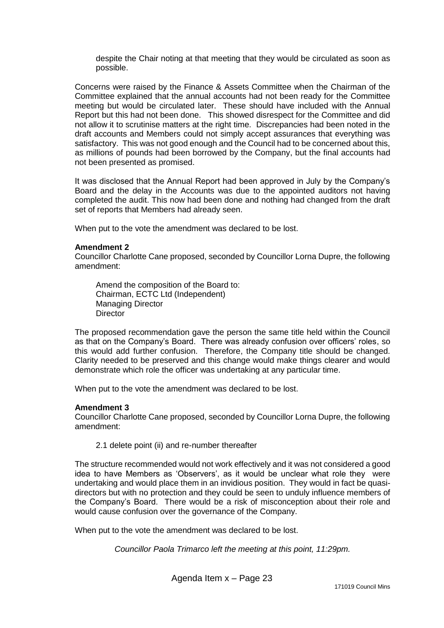despite the Chair noting at that meeting that they would be circulated as soon as possible.

Concerns were raised by the Finance & Assets Committee when the Chairman of the Committee explained that the annual accounts had not been ready for the Committee meeting but would be circulated later. These should have included with the Annual Report but this had not been done. This showed disrespect for the Committee and did not allow it to scrutinise matters at the right time. Discrepancies had been noted in the draft accounts and Members could not simply accept assurances that everything was satisfactory. This was not good enough and the Council had to be concerned about this, as millions of pounds had been borrowed by the Company, but the final accounts had not been presented as promised.

It was disclosed that the Annual Report had been approved in July by the Company's Board and the delay in the Accounts was due to the appointed auditors not having completed the audit. This now had been done and nothing had changed from the draft set of reports that Members had already seen.

When put to the vote the amendment was declared to be lost.

#### **Amendment 2**

Councillor Charlotte Cane proposed, seconded by Councillor Lorna Dupre, the following amendment:

Amend the composition of the Board to: Chairman, ECTC Ltd (Independent) Managing Director **Director** 

The proposed recommendation gave the person the same title held within the Council as that on the Company's Board. There was already confusion over officers' roles, so this would add further confusion. Therefore, the Company title should be changed. Clarity needed to be preserved and this change would make things clearer and would demonstrate which role the officer was undertaking at any particular time.

When put to the vote the amendment was declared to be lost.

#### **Amendment 3**

Councillor Charlotte Cane proposed, seconded by Councillor Lorna Dupre, the following amendment:

2.1 delete point (ii) and re-number thereafter

The structure recommended would not work effectively and it was not considered a good idea to have Members as 'Observers', as it would be unclear what role they were undertaking and would place them in an invidious position. They would in fact be quasidirectors but with no protection and they could be seen to unduly influence members of the Company's Board. There would be a risk of misconception about their role and would cause confusion over the governance of the Company.

When put to the vote the amendment was declared to be lost.

*Councillor Paola Trimarco left the meeting at this point, 11:29pm.*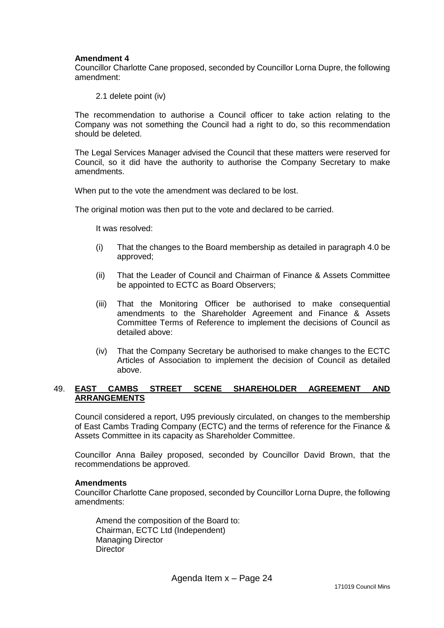#### **Amendment 4**

Councillor Charlotte Cane proposed, seconded by Councillor Lorna Dupre, the following amendment:

2.1 delete point (iv)

The recommendation to authorise a Council officer to take action relating to the Company was not something the Council had a right to do, so this recommendation should be deleted.

The Legal Services Manager advised the Council that these matters were reserved for Council, so it did have the authority to authorise the Company Secretary to make amendments.

When put to the vote the amendment was declared to be lost.

The original motion was then put to the vote and declared to be carried.

It was resolved:

- (i) That the changes to the Board membership as detailed in paragraph 4.0 be approved;
- (ii) That the Leader of Council and Chairman of Finance & Assets Committee be appointed to ECTC as Board Observers;
- (iii) That the Monitoring Officer be authorised to make consequential amendments to the Shareholder Agreement and Finance & Assets Committee Terms of Reference to implement the decisions of Council as detailed above:
- (iv) That the Company Secretary be authorised to make changes to the ECTC Articles of Association to implement the decision of Council as detailed above.

### 49. **EAST CAMBS STREET SCENE SHAREHOLDER AGREEMENT AND ARRANGEMENTS**

Council considered a report, U95 previously circulated, on changes to the membership of East Cambs Trading Company (ECTC) and the terms of reference for the Finance & Assets Committee in its capacity as Shareholder Committee.

Councillor Anna Bailey proposed, seconded by Councillor David Brown, that the recommendations be approved.

#### **Amendments**

Councillor Charlotte Cane proposed, seconded by Councillor Lorna Dupre, the following amendments:

Amend the composition of the Board to: Chairman, ECTC Ltd (Independent) Managing Director **Director**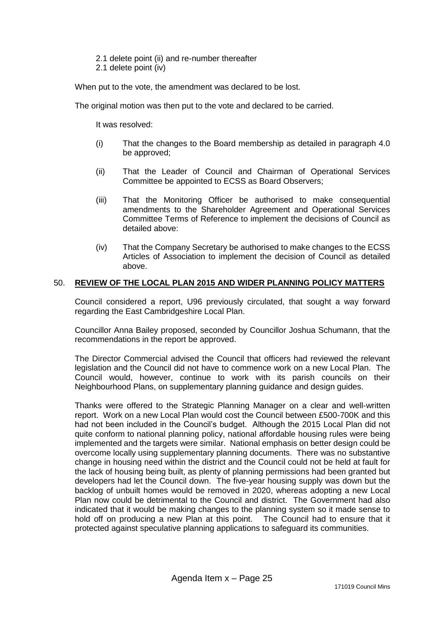- 2.1 delete point (ii) and re-number thereafter
- 2.1 delete point (iv)

When put to the vote, the amendment was declared to be lost.

The original motion was then put to the vote and declared to be carried.

It was resolved:

- (i) That the changes to the Board membership as detailed in paragraph 4.0 be approved;
- (ii) That the Leader of Council and Chairman of Operational Services Committee be appointed to ECSS as Board Observers;
- (iii) That the Monitoring Officer be authorised to make consequential amendments to the Shareholder Agreement and Operational Services Committee Terms of Reference to implement the decisions of Council as detailed above:
- (iv) That the Company Secretary be authorised to make changes to the ECSS Articles of Association to implement the decision of Council as detailed above.

#### 50. **REVIEW OF THE LOCAL PLAN 2015 AND WIDER PLANNING POLICY MATTERS**

Council considered a report, U96 previously circulated, that sought a way forward regarding the East Cambridgeshire Local Plan.

Councillor Anna Bailey proposed, seconded by Councillor Joshua Schumann, that the recommendations in the report be approved.

The Director Commercial advised the Council that officers had reviewed the relevant legislation and the Council did not have to commence work on a new Local Plan. The Council would, however, continue to work with its parish councils on their Neighbourhood Plans, on supplementary planning guidance and design guides.

Thanks were offered to the Strategic Planning Manager on a clear and well-written report. Work on a new Local Plan would cost the Council between £500-700K and this had not been included in the Council's budget. Although the 2015 Local Plan did not quite conform to national planning policy, national affordable housing rules were being implemented and the targets were similar. National emphasis on better design could be overcome locally using supplementary planning documents. There was no substantive change in housing need within the district and the Council could not be held at fault for the lack of housing being built, as plenty of planning permissions had been granted but developers had let the Council down. The five-year housing supply was down but the backlog of unbuilt homes would be removed in 2020, whereas adopting a new Local Plan now could be detrimental to the Council and district. The Government had also indicated that it would be making changes to the planning system so it made sense to hold off on producing a new Plan at this point. The Council had to ensure that it protected against speculative planning applications to safeguard its communities.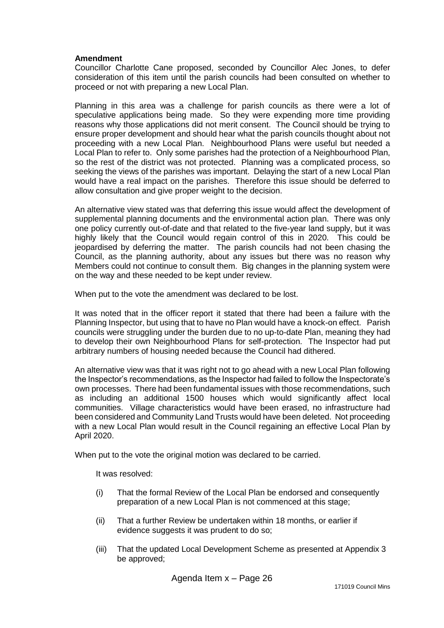#### **Amendment**

Councillor Charlotte Cane proposed, seconded by Councillor Alec Jones, to defer consideration of this item until the parish councils had been consulted on whether to proceed or not with preparing a new Local Plan.

Planning in this area was a challenge for parish councils as there were a lot of speculative applications being made. So they were expending more time providing reasons why those applications did not merit consent. The Council should be trying to ensure proper development and should hear what the parish councils thought about not proceeding with a new Local Plan. Neighbourhood Plans were useful but needed a Local Plan to refer to. Only some parishes had the protection of a Neighbourhood Plan, so the rest of the district was not protected. Planning was a complicated process, so seeking the views of the parishes was important. Delaying the start of a new Local Plan would have a real impact on the parishes. Therefore this issue should be deferred to allow consultation and give proper weight to the decision.

An alternative view stated was that deferring this issue would affect the development of supplemental planning documents and the environmental action plan. There was only one policy currently out-of-date and that related to the five-year land supply, but it was highly likely that the Council would regain control of this in 2020. This could be jeopardised by deferring the matter. The parish councils had not been chasing the Council, as the planning authority, about any issues but there was no reason why Members could not continue to consult them. Big changes in the planning system were on the way and these needed to be kept under review.

When put to the vote the amendment was declared to be lost.

It was noted that in the officer report it stated that there had been a failure with the Planning Inspector, but using that to have no Plan would have a knock-on effect. Parish councils were struggling under the burden due to no up-to-date Plan, meaning they had to develop their own Neighbourhood Plans for self-protection. The Inspector had put arbitrary numbers of housing needed because the Council had dithered.

An alternative view was that it was right not to go ahead with a new Local Plan following the Inspector's recommendations, as the Inspector had failed to follow the Inspectorate's own processes. There had been fundamental issues with those recommendations, such as including an additional 1500 houses which would significantly affect local communities. Village characteristics would have been erased, no infrastructure had been considered and Community Land Trusts would have been deleted. Not proceeding with a new Local Plan would result in the Council regaining an effective Local Plan by April 2020.

When put to the vote the original motion was declared to be carried.

It was resolved:

- (i) That the formal Review of the Local Plan be endorsed and consequently preparation of a new Local Plan is not commenced at this stage;
- (ii) That a further Review be undertaken within 18 months, or earlier if evidence suggests it was prudent to do so;
- (iii) That the updated Local Development Scheme as presented at Appendix 3 be approved;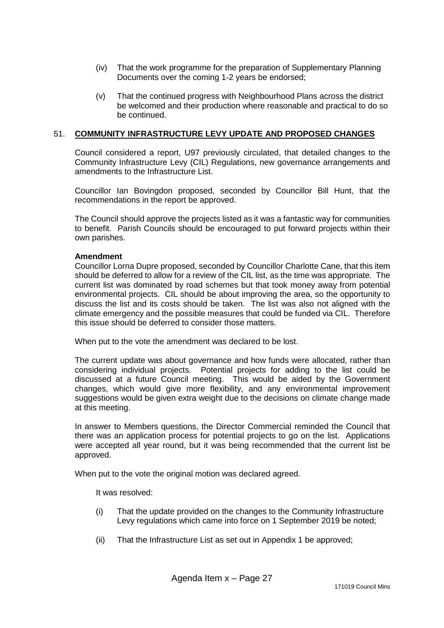- (iv) That the work programme for the preparation of Supplementary Planning Documents over the coming 1-2 years be endorsed;
- (v) That the continued progress with Neighbourhood Plans across the district be welcomed and their production where reasonable and practical to do so be continued.

### 51. **COMMUNITY INFRASTRUCTURE LEVY UPDATE AND PROPOSED CHANGES**

Council considered a report, U97 previously circulated, that detailed changes to the Community Infrastructure Levy (CIL) Regulations, new governance arrangements and amendments to the Infrastructure List.

Councillor Ian Bovingdon proposed, seconded by Councillor Bill Hunt, that the recommendations in the report be approved.

The Council should approve the projects listed as it was a fantastic way for communities to benefit. Parish Councils should be encouraged to put forward projects within their own parishes.

#### **Amendment**

Councillor Lorna Dupre proposed, seconded by Councillor Charlotte Cane, that this item should be deferred to allow for a review of the CIL list, as the time was appropriate. The current list was dominated by road schemes but that took money away from potential environmental projects. CIL should be about improving the area, so the opportunity to discuss the list and its costs should be taken. The list was also not aligned with the climate emergency and the possible measures that could be funded via CIL. Therefore this issue should be deferred to consider those matters.

When put to the vote the amendment was declared to be lost.

The current update was about governance and how funds were allocated, rather than considering individual projects. Potential projects for adding to the list could be discussed at a future Council meeting. This would be aided by the Government changes, which would give more flexibility, and any environmental improvement suggestions would be given extra weight due to the decisions on climate change made at this meeting.

In answer to Members questions, the Director Commercial reminded the Council that there was an application process for potential projects to go on the list. Applications were accepted all year round, but it was being recommended that the current list be approved.

When put to the vote the original motion was declared agreed.

It was resolved:

- (i) That the update provided on the changes to the Community Infrastructure Levy regulations which came into force on 1 September 2019 be noted;
- (ii) That the Infrastructure List as set out in Appendix 1 be approved;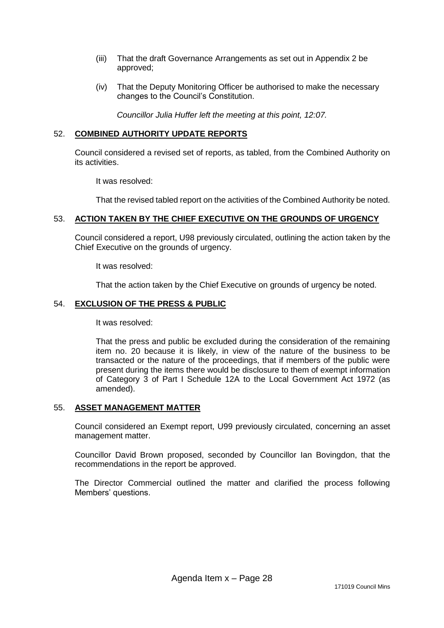- (iii) That the draft Governance Arrangements as set out in Appendix 2 be approved;
- (iv) That the Deputy Monitoring Officer be authorised to make the necessary changes to the Council's Constitution.

*Councillor Julia Huffer left the meeting at this point, 12:07.*

### 52. **COMBINED AUTHORITY UPDATE REPORTS**

Council considered a revised set of reports, as tabled, from the Combined Authority on its activities.

It was resolved:

That the revised tabled report on the activities of the Combined Authority be noted.

### 53. **ACTION TAKEN BY THE CHIEF EXECUTIVE ON THE GROUNDS OF URGENCY**

Council considered a report, U98 previously circulated, outlining the action taken by the Chief Executive on the grounds of urgency.

It was resolved:

That the action taken by the Chief Executive on grounds of urgency be noted.

### 54. **EXCLUSION OF THE PRESS & PUBLIC**

It was resolved:

That the press and public be excluded during the consideration of the remaining item no. 20 because it is likely, in view of the nature of the business to be transacted or the nature of the proceedings, that if members of the public were present during the items there would be disclosure to them of exempt information of Category 3 of Part I Schedule 12A to the Local Government Act 1972 (as amended).

#### 55. **ASSET MANAGEMENT MATTER**

Council considered an Exempt report, U99 previously circulated, concerning an asset management matter.

Councillor David Brown proposed, seconded by Councillor Ian Bovingdon, that the recommendations in the report be approved.

The Director Commercial outlined the matter and clarified the process following Members' questions.